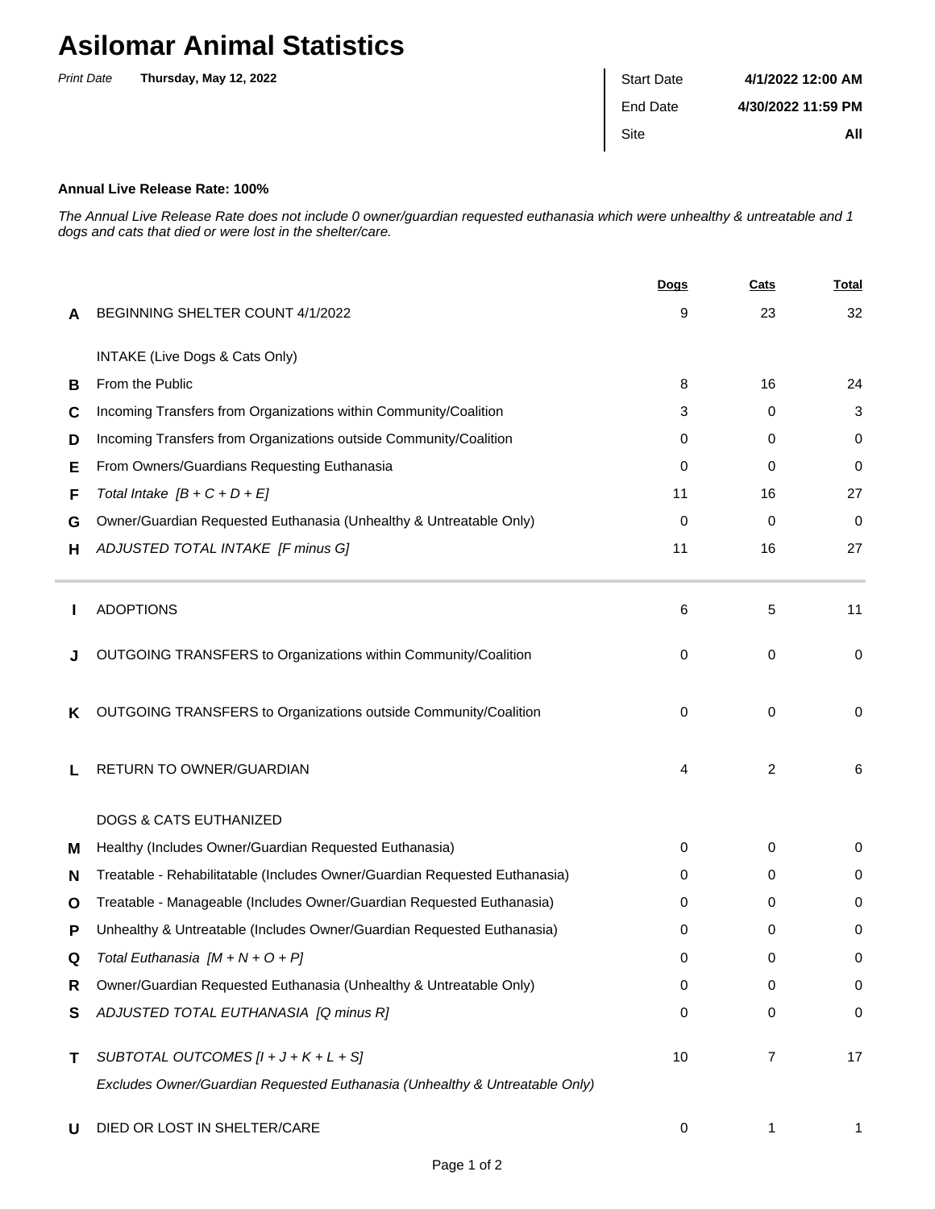## **Asilomar Animal Statistics**

| <b>Print Date</b> | Thursday, May 12, 2022 | <b>Start Date</b> | 4/1/2022 12:00 AM  |
|-------------------|------------------------|-------------------|--------------------|
|                   |                        | End Date          | 4/30/2022 11:59 PM |
|                   |                        | Site              | All                |
|                   |                        |                   |                    |

## **Annual Live Release Rate: 100%**

The Annual Live Release Rate does not include 0 owner/guardian requested euthanasia which were unhealthy & untreatable and 1 dogs and cats that died or were lost in the shelter/care.

|   |                                                                             | <b>Dogs</b> | Cats        | <u>Total</u> |
|---|-----------------------------------------------------------------------------|-------------|-------------|--------------|
| A | BEGINNING SHELTER COUNT 4/1/2022                                            | 9           | 23          | 32           |
|   | INTAKE (Live Dogs & Cats Only)                                              |             |             |              |
| B | From the Public                                                             | 8           | 16          | 24           |
| C | Incoming Transfers from Organizations within Community/Coalition            | 3           | 0           | 3            |
| D | Incoming Transfers from Organizations outside Community/Coalition           | 0           | 0           | 0            |
| Е | From Owners/Guardians Requesting Euthanasia                                 | $\Omega$    | 0           | 0            |
| F | Total Intake $[B + C + D + E]$                                              | 11          | 16          | 27           |
| G | Owner/Guardian Requested Euthanasia (Unhealthy & Untreatable Only)          | $\Omega$    | 0           | 0            |
| н | ADJUSTED TOTAL INTAKE [F minus G]                                           | 11          | 16          | 27           |
|   | <b>ADOPTIONS</b>                                                            | 6           | 5           | 11           |
|   | OUTGOING TRANSFERS to Organizations within Community/Coalition              | 0           | $\mathbf 0$ | 0            |
| Κ | OUTGOING TRANSFERS to Organizations outside Community/Coalition             | $\Omega$    | 0           | 0            |
| L | RETURN TO OWNER/GUARDIAN                                                    | 4           | 2           | 6            |
|   | <b>DOGS &amp; CATS EUTHANIZED</b>                                           |             |             |              |
| м | Healthy (Includes Owner/Guardian Requested Euthanasia)                      | 0           | 0           | 0            |
| N | Treatable - Rehabilitatable (Includes Owner/Guardian Requested Euthanasia)  | 0           | 0           | 0            |
| O | Treatable - Manageable (Includes Owner/Guardian Requested Euthanasia)       | 0           | 0           | 0            |
| Р | Unhealthy & Untreatable (Includes Owner/Guardian Requested Euthanasia)      | 0           | 0           | 0            |
| Q | Total Euthanasia $[M + N + O + P]$                                          | 0           | 0           | 0            |
| R | Owner/Guardian Requested Euthanasia (Unhealthy & Untreatable Only)          | 0           | 0           | 0            |
| S | ADJUSTED TOTAL EUTHANASIA [Q minus R]                                       | 0           | 0           | 0            |
| т | SUBTOTAL OUTCOMES $[l + J + K + L + S]$                                     | 10          | 7           | 17           |
|   | Excludes Owner/Guardian Requested Euthanasia (Unhealthy & Untreatable Only) |             |             |              |
| U | DIED OR LOST IN SHELTER/CARE                                                | 0           | 1           |              |